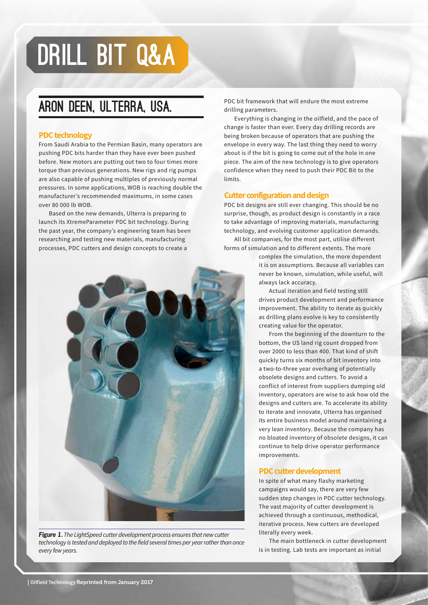## DRILL BIT Q&A

### Aron Deen, Ulterra, USA.

#### **PDC technology**

From Saudi Arabia to the Permian Basin, many operators are pushing PDC bits harder than they have ever been pushed before. New motors are putting out two to four times more torque than previous generations. New rigs and rig pumps are also capable of pushing multiples of previously normal pressures. In some applications, WOB is reaching double the manufacturer's recommended maximums, in some cases over 80 000 lb WOB.

Based on the new demands, Ulterra is preparing to launch its XtremeParameter PDC bit technology. During the past year, the company's engineering team has been researching and testing new materials, manufacturing processes, PDC cutters and design concepts to create a



*Figure 1. The LightSpeed cutter development process ensures that new cutter technology is tested and deployed to the field several times per year rather than once every few years.*

PDC bit framework that will endure the most extreme drilling parameters.

Everything is changing in the oilfield, and the pace of change is faster than ever. Every day drilling records are being broken because of operators that are pushing the envelope in every way. The last thing they need to worry about is if the bit is going to come out of the hole in one piece. The aim of the new technology is to give operators confidence when they need to push their PDC Bit to the limits.

#### **Cutter configuration and design**

PDC bit designs are still ever changing. This should be no surprise, though, as product design is constantly in a race to take advantage of improving materials, manufacturing technology, and evolving customer application demands.

All bit companies, for the most part, utilise different forms of simulation and to different extents. The more

> complex the simulation, the more dependent it is on assumptions. Because all variables can never be known, simulation, while useful, will always lack accuracy.

> Actual iteration and field testing still drives product development and performance improvement. The ability to iterate as quickly as drilling plans evolve is key to consistently creating value for the operator.

From the beginning of the downturn to the bottom, the US land rig count dropped from over 2000 to less than 400. That kind of shift quickly turns six months of bit inventory into a two-to-three year overhang of potentially obsolete designs and cutters. To avoid a conflict of interest from suppliers dumping old inventory, operators are wise to ask how old the designs and cutters are. To accelerate its ability to iterate and innovate, Ulterra has organised its entire business model around maintaining a very lean inventory. Because the company has no bloated inventory of obsolete designs, it can continue to help drive operator performance improvements.

#### **PDC cutter development**

In spite of what many flashy marketing campaigns would say, there are very few sudden step changes in PDC cutter technology. The vast majority of cutter development is achieved through a continuous, methodical, iterative process. New cutters are developed literally every week.

The main bottleneck in cutter development is in testing. Lab tests are important as initial